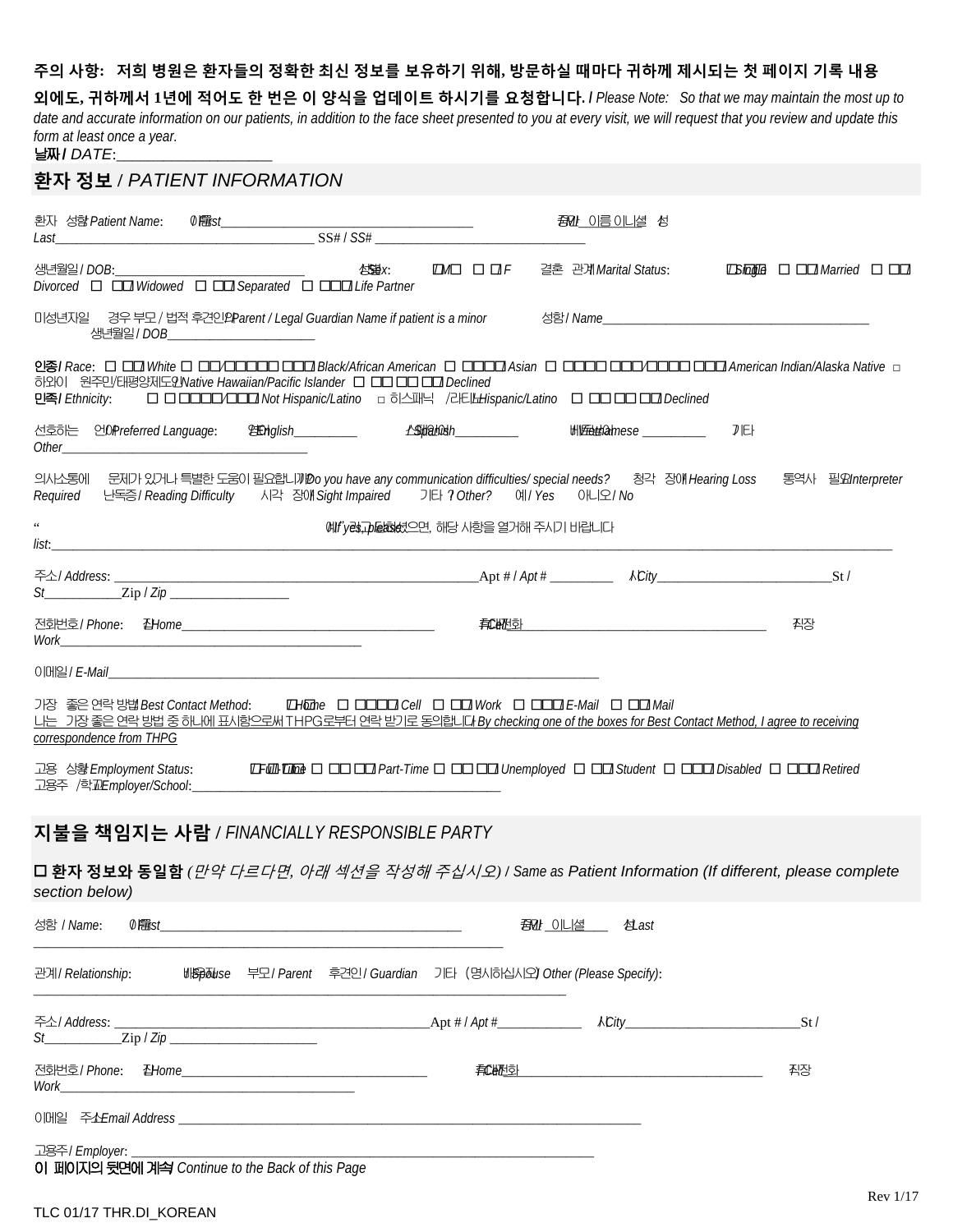### **주의 사항: 저희 병원은 환자들의 정확한 최신 정보를 보유하기 위해, 방문하실 때마다 귀하께 제시되는 첫 페이지 기록 내용**

**외에도, 귀하께서 1년에 적어도 한 번은 이 양식을 업데이트 하시기를 요청합니다. /** *Please Note: So that we may maintain the most up to date and accurate information on our patients, in addition to the face sheet presented to you at every visit, we will request that you review and update this form at least once a year.*

날짜 / *DATE*:

| 환자 정보 / <i>PATIENT INFORMATION</i>                                                                                                                                                                                                                             |                                                                                                                                                                                                                                    |                                       |                      |                       |      |      |     |  |
|----------------------------------------------------------------------------------------------------------------------------------------------------------------------------------------------------------------------------------------------------------------|------------------------------------------------------------------------------------------------------------------------------------------------------------------------------------------------------------------------------------|---------------------------------------|----------------------|-----------------------|------|------|-----|--|
|                                                                                                                                                                                                                                                                |                                                                                                                                                                                                                                    |                                       |                      | <i>到</i> 이름이니셜 성      |      |      |     |  |
| 생년월일 / DOB:<br>Divorced $\Box$ $\Box$ Widowed $\Box$ $\Box$ Separated $\Box$ $\Box$ Life Partner                                                                                                                                                               |                                                                                                                                                                                                                                    | 公室X:                                  | $\Box M \Box \Box H$ | 결혼  관계Marital Status: |      |      |     |  |
|                                                                                                                                                                                                                                                                | 생년월일 / DOB _______________________                                                                                                                                                                                                 |                                       |                      |                       |      |      |     |  |
| <b>인종/</b> Race: □ □□ White □ □□△□□□□□ □□□ Black/African American □ □□□□ Asian □ □□□□ □□□□□□□□□ American Indian/Alaska Native □<br>하와이 원주민/태평양제도인Native Hawaiian/Pacific Islander □ □□□□□□□ Declined<br>민족/ Ethnicity:                                         | □ □ □□□□△□□□ Not Hispanic/Latino  □ 히스패닉 /라티ຟispanic/Latino □ □□ □□ □□ □□ Declined                                                                                                                                                 |                                       |                      |                       |      |      |     |  |
| 선호하는 언(OrPreferred Language:<br>Other contracts the contract of the contract of the contract of the contract of the contract of the contract of the contract of the contract of the contract of the contract of the contract of the contract of the contract o |                                                                                                                                                                                                                                    |                                       |                      |                       |      | 刀IEH |     |  |
| 의사소통에 문제가 있거나 특별한 도움이 필요합니까 Do you have any communication difficulties/ special needs? 청각 장애 Hearing Loss 통역사 필요Interpreter<br>Required 난독증 / Reading Difficulty 시각 장애 Sight Impaired 기타 ? Other? 예 / Yes 아니오 / No                                             |                                                                                                                                                                                                                                    |                                       |                      |                       |      |      |     |  |
| $\zeta\,\zeta$<br>list:                                                                                                                                                                                                                                        | <u> 1980 - Jan Barbara, manazarta bashkar mashrida</u>                                                                                                                                                                             | 예! yel pladed 2면, 해당 사항을 열거해 주시기 바랍니다 |                      |                       |      |      |     |  |
| $St$ $\qquad \qquad \text{Zip } / \text{ Zip } \_$                                                                                                                                                                                                             |                                                                                                                                                                                                                                    |                                       |                      |                       |      |      |     |  |
|                                                                                                                                                                                                                                                                |                                                                                                                                                                                                                                    |                                       |                      |                       |      |      | 직장  |  |
| 이메일 / <i>E-Mail</i> All Annual Accounts and Accounts and Accounts and Accounts and Accounts and Accounts and Accounts and Accounts and Accounts and Accounts and Accounts and Accounts and Accounts and Accounts and Accounts and                              |                                                                                                                                                                                                                                    |                                       |                      |                       |      |      |     |  |
| <u>니는 기장 좋은 연락 방법 중 하나에 표시함으로써 THPG로부터 연락 받기로 동의합니다 By checking one of the boxes for Best Contact Method, I agree to receiving</u>                                                                                                                             |                                                                                                                                                                                                                                    |                                       |                      |                       |      |      |     |  |
| correspondence from THPG                                                                                                                                                                                                                                       |                                                                                                                                                                                                                                    |                                       |                      |                       |      |      |     |  |
| 고용 상황 Employment Status:<br>고용주 /학교Employer/School:_____                                                                                                                                                                                                       |                                                                                                                                                                                                                                    |                                       |                      |                       |      |      |     |  |
| 지불을 책임지는 사람 / FINANCIALLY RESPONSIBLE PARTY                                                                                                                                                                                                                    |                                                                                                                                                                                                                                    |                                       |                      |                       |      |      |     |  |
| ロ 환자 정보와 동일함 ( <i>만약 다르다면, 아래 섹션을 작성해 주십시오) I Same as Patient Information (If different, please complete</i><br>section below)                                                                                                                                 |                                                                                                                                                                                                                                    |                                       |                      |                       |      |      |     |  |
| 성함 / Name:                                                                                                                                                                                                                                                     | $\emptyset$ exists the contract of the contract of the contract of the contract of the contract of the contract of the contract of the contract of the contract of the contract of the contract of the contract of the contract of |                                       |                      | 到20 이니셜               | 过ast |      |     |  |
| 관계/ Relationship:                                                                                                                                                                                                                                              | 배Spoluse 부모 / Parent 후견인 / Guardian 기타 (명시하십시오) Other (Please Specify):                                                                                                                                                            |                                       |                      |                       |      |      |     |  |
| 주소/ Address: _<br>$St$ $\qquad \qquad \text{Zip }   \text{ Zip } \qquad \qquad \text{I.}$                                                                                                                                                                      |                                                                                                                                                                                                                                    |                                       |                      |                       |      |      | St/ |  |
| 전화번호/ Phone:<br>Work                                                                                                                                                                                                                                           |                                                                                                                                                                                                                                    |                                       |                      |                       |      |      | 직장  |  |
|                                                                                                                                                                                                                                                                |                                                                                                                                                                                                                                    |                                       |                      |                       |      |      |     |  |
| 고용주/ Employer:<br>이 페이지의 뒷면에 계속 Continue to the Back of this Page                                                                                                                                                                                              |                                                                                                                                                                                                                                    |                                       |                      |                       |      |      |     |  |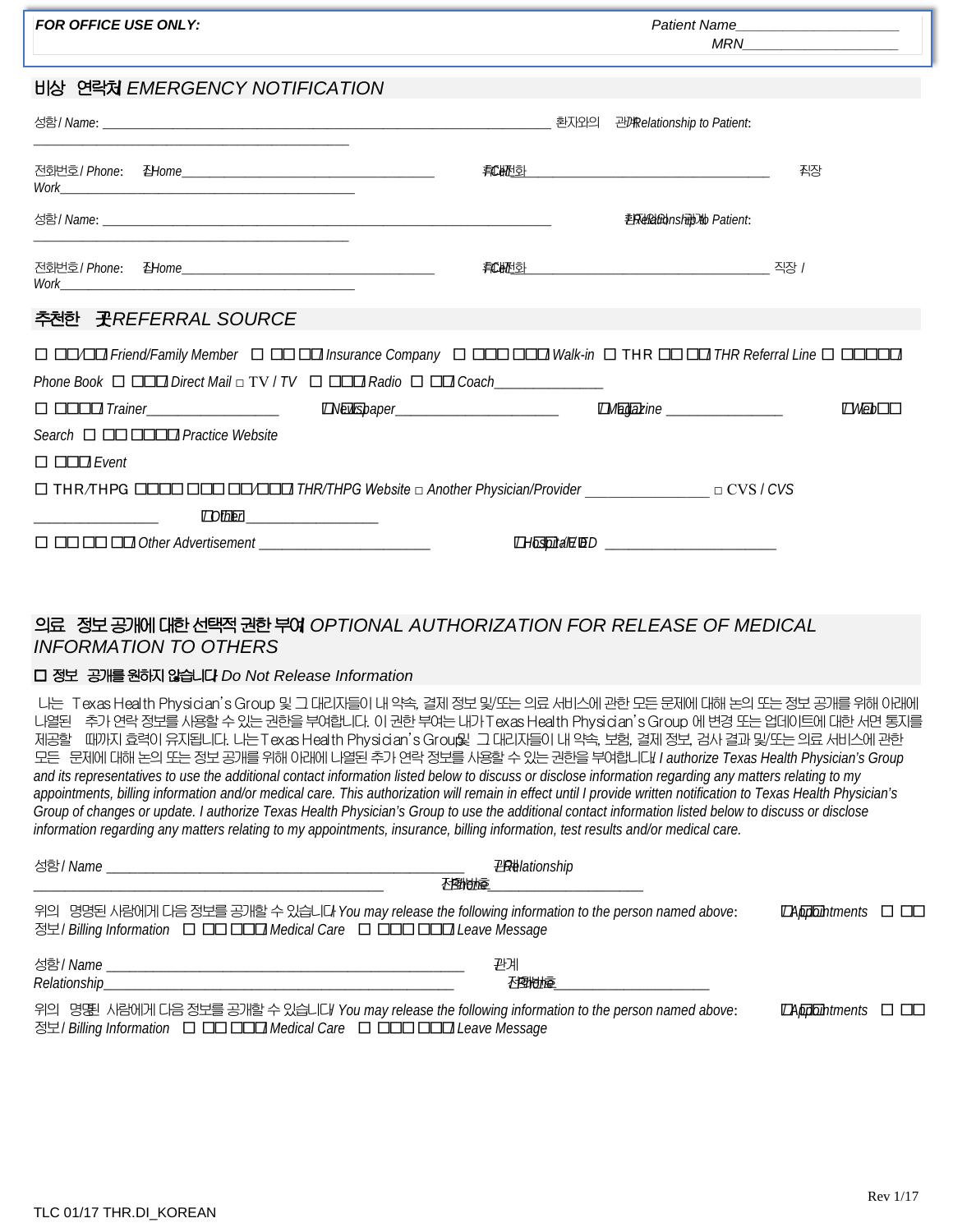| <b>FOR OFFICE USE ONLY:</b>                                                                                                                                                                                                                                                                                                                                                                                                                                                                                                                                                                                                                                                                                                                                                                                                                                                                                                                                                                                                                                  | <b>Patient Name</b>                          |                                   |  |  |
|--------------------------------------------------------------------------------------------------------------------------------------------------------------------------------------------------------------------------------------------------------------------------------------------------------------------------------------------------------------------------------------------------------------------------------------------------------------------------------------------------------------------------------------------------------------------------------------------------------------------------------------------------------------------------------------------------------------------------------------------------------------------------------------------------------------------------------------------------------------------------------------------------------------------------------------------------------------------------------------------------------------------------------------------------------------|----------------------------------------------|-----------------------------------|--|--|
| 비상 연락처 EMERGENCY NOTIFICATION                                                                                                                                                                                                                                                                                                                                                                                                                                                                                                                                                                                                                                                                                                                                                                                                                                                                                                                                                                                                                                |                                              |                                   |  |  |
|                                                                                                                                                                                                                                                                                                                                                                                                                                                                                                                                                                                                                                                                                                                                                                                                                                                                                                                                                                                                                                                              |                                              |                                   |  |  |
|                                                                                                                                                                                                                                                                                                                                                                                                                                                                                                                                                                                                                                                                                                                                                                                                                                                                                                                                                                                                                                                              |                                              | 줘장                                |  |  |
|                                                                                                                                                                                                                                                                                                                                                                                                                                                                                                                                                                                                                                                                                                                                                                                                                                                                                                                                                                                                                                                              | <b>毛屎蛤油ns刷减 Patient:</b>                     |                                   |  |  |
|                                                                                                                                                                                                                                                                                                                                                                                                                                                                                                                                                                                                                                                                                                                                                                                                                                                                                                                                                                                                                                                              |                                              |                                   |  |  |
| 추천한 곳 <i>REFERRAL</i> SOURCE                                                                                                                                                                                                                                                                                                                                                                                                                                                                                                                                                                                                                                                                                                                                                                                                                                                                                                                                                                                                                                 |                                              |                                   |  |  |
| O OOOO Friend/Family Member O OO OO Insurance Company O OOO OOO Walk-in O THR OO OO THR Referral Line O OOOOO<br>Phone Book $\Box$ $\Box$ $\Box$ Direct Mail $\Box$ TV / TV $\Box$ $\Box$ $\Box$ Radio $\Box$ $\Box$ Coach                                                                                                                                                                                                                                                                                                                                                                                                                                                                                                                                                                                                                                                                                                                                                                                                                                   |                                              |                                   |  |  |
|                                                                                                                                                                                                                                                                                                                                                                                                                                                                                                                                                                                                                                                                                                                                                                                                                                                                                                                                                                                                                                                              | <b>EMagazine</b> _________________           | $\Box$ Web $\Box$ $\Box$          |  |  |
| Search □ □□□□□ Practice Website                                                                                                                                                                                                                                                                                                                                                                                                                                                                                                                                                                                                                                                                                                                                                                                                                                                                                                                                                                                                                              |                                              |                                   |  |  |
| $\Box$ $\Box$ Event<br>$\Box$ Olber                                                                                                                                                                                                                                                                                                                                                                                                                                                                                                                                                                                                                                                                                                                                                                                                                                                                                                                                                                                                                          |                                              |                                   |  |  |
|                                                                                                                                                                                                                                                                                                                                                                                                                                                                                                                                                                                                                                                                                                                                                                                                                                                                                                                                                                                                                                                              | <b>THospital20ED</b> _______________________ |                                   |  |  |
|                                                                                                                                                                                                                                                                                                                                                                                                                                                                                                                                                                                                                                                                                                                                                                                                                                                                                                                                                                                                                                                              |                                              |                                   |  |  |
| 의료 정보 공개에 대한 선택적 권한 부여 OPTIONAL AUTHORIZATION FOR RELEASE OF MEDICAL<br><b>INFORMATION TO OTHERS</b>                                                                                                                                                                                                                                                                                                                                                                                                                                                                                                                                                                                                                                                                                                                                                                                                                                                                                                                                                         |                                              |                                   |  |  |
| □ 정보 공개를 원하지 않습니다 Do Not Release Information                                                                                                                                                                                                                                                                                                                                                                                                                                                                                                                                                                                                                                                                                                                                                                                                                                                                                                                                                                                                                 |                                              |                                   |  |  |
| 나는 Texas Health Physician's Group 및 그 대리자들이 내 약속, 결제 정보 및/또는 의료 서비스에 관한 모든 문제에 대해 논의 또는 정보 공개를 위해 아래에<br>나열된 추가 연락 정보를 시용할 수 있는 권한을 부여합니다. 이 권한 부여는 내가 Texas Health Physician's Group 에 변경 또는 업데이트에 대한 서면 통지를<br>제공할 때까지 효력이 유지됩니다. 나는 Texas Health Physician's Grou및 그 대리지들이 내 약속, 보험, 결제 정보, 검사 결과 및/또는 의료 서비스에 관한<br>모든 문제에 대해 논의 또는 정보 공개를 위해 이래에 나열된 추가 연락 정보를 사용할 수 있는 권한을 부여합니다! I authorize Texas Health Physician's Group<br>and its representatives to use the additional contact information listed below to discuss or disclose information regarding any matters relating to my<br>appointments, billing information and/or medical care. This authorization will remain in effect until I provide written notification to Texas Health Physician's<br>Group of changes or update. I authorize Texas Health Physician's Group to use the additional contact information listed below to discuss or disclose<br>information regarding any matters relating to my appointments, insurance, billing information, test results and/or medical care. |                                              |                                   |  |  |
| 心動地症                                                                                                                                                                                                                                                                                                                                                                                                                                                                                                                                                                                                                                                                                                                                                                                                                                                                                                                                                                                                                                                         | <b>巴姆ationship</b>                           |                                   |  |  |
| 위의 명명된 사람에게 다음 정보를 공개할 수 있습니다 You may release the following information to the person named above:<br>정보/ Billing Information 그 그그 그그고 Medical Care 그 그그그 그그고 Leave Message                                                                                                                                                                                                                                                                                                                                                                                                                                                                                                                                                                                                                                                                                                                                                                                                                                                                                  |                                              | $\Box$ Appointments $\Box$ $\Box$ |  |  |
|                                                                                                                                                                                                                                                                                                                                                                                                                                                                                                                                                                                                                                                                                                                                                                                                                                                                                                                                                                                                                                                              | 관계<br>飞雪地痘                                   |                                   |  |  |
| 위의 명명된 사람에게 디음 정보를 공개할 수 있습니다 You may release the following information to the person named above:<br>정보 / Billing Information 그 그그 그그그 Medical Care 그 그그그 그그고 Leave Message                                                                                                                                                                                                                                                                                                                                                                                                                                                                                                                                                                                                                                                                                                                                                                                                                                                                                 |                                              | $\Box$ Appointments $\Box$ $\Box$ |  |  |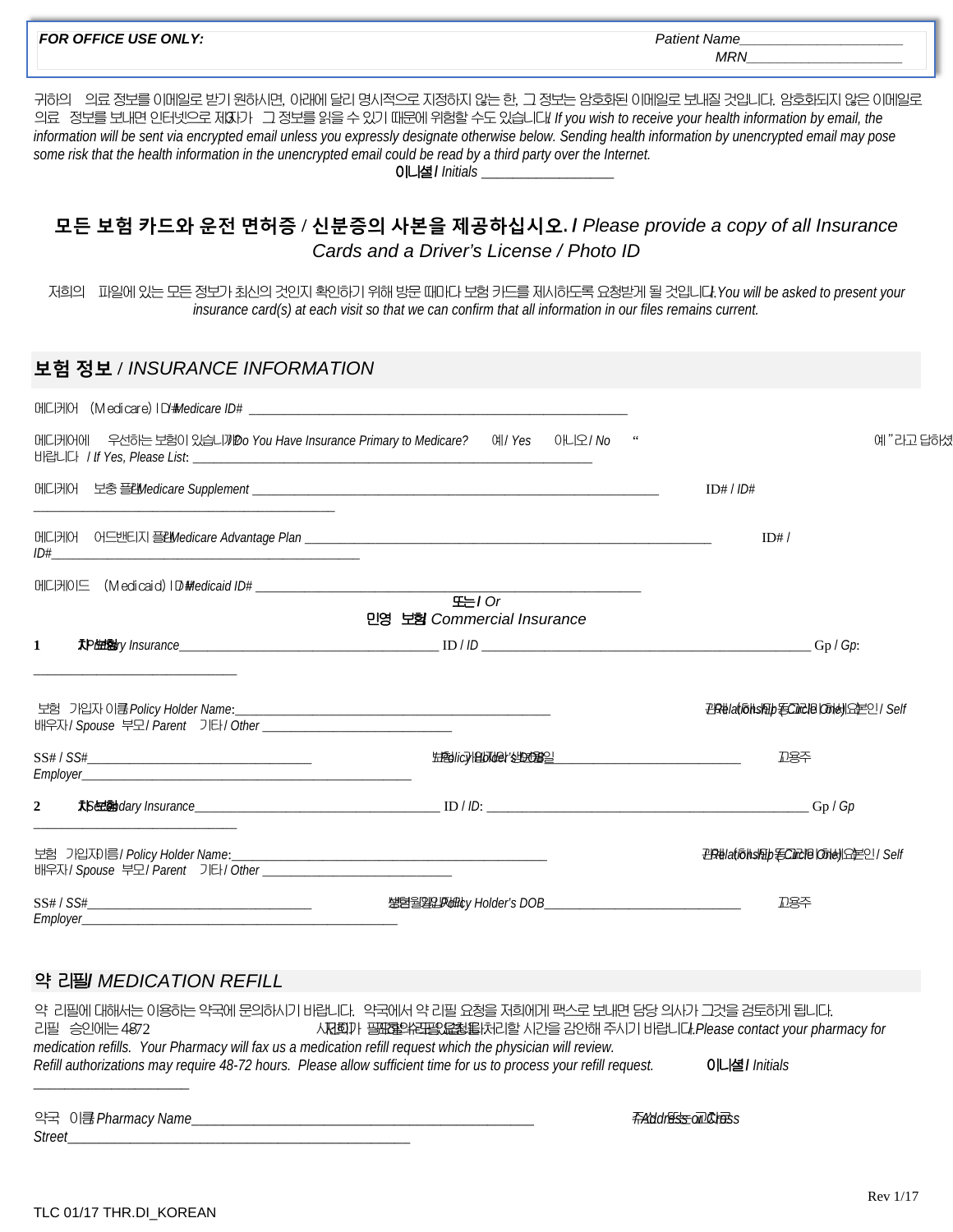| <b>FOR OFFICE USE ONLY:</b>                                                                                                                                                                                                                                                                                                                                                                                                                                                                                                     | Patient Name<br>MRN                                                                      |
|---------------------------------------------------------------------------------------------------------------------------------------------------------------------------------------------------------------------------------------------------------------------------------------------------------------------------------------------------------------------------------------------------------------------------------------------------------------------------------------------------------------------------------|------------------------------------------------------------------------------------------|
| 귀하의 의료 정보를 이메일로 받기 원하시면, 이래에 달리 명시적으로 지정하지 않는 한, 그 정보는 암호화된 이메일로 보내질 것입니다. 암호화되지 않은 이메일로<br>의료 정보를 보내면 인터넷으로 제3다 그 정보를 읽을 수 있기 때문에 위험할 수도 있습니다! If you wish to receive your health information by email, the<br>information will be sent via encrypted email unless you expressly designate otherwise below. Sending health information by unencrypted email may pose<br>some risk that the health information in the unencrypted email could be read by a third party over the Internet.<br>0니셜 / Initials ___________________ |                                                                                          |
| 모든 보험 카드와 운전 면허증 / 신분증의 사본을 제공하십시오. / Please provide a copy of all Insurance<br>Cards and a Driver's License / Photo ID                                                                                                                                                                                                                                                                                                                                                                                                         |                                                                                          |
| 저희의 파일에 있는 모든 정보가 최신의 것인지 확인하기 위해 방문 때마다 보험 카드를 제시하도록 요청받게 될 것입니다. You will be asked to present your<br>insurance card(s) at each visit so that we can confirm that all information in our files remains current.                                                                                                                                                                                                                                                                                                               |                                                                                          |
| 보험 정보 / INSURANCE INFORMATION                                                                                                                                                                                                                                                                                                                                                                                                                                                                                                   |                                                                                          |
|                                                                                                                                                                                                                                                                                                                                                                                                                                                                                                                                 |                                                                                          |
| 메디케어에 우선하는 보험이 있습니까 Do You Have Insurance Primary to Medicare? 예/ Yes 아니오 / No                                                                                                                                                                                                                                                                                                                                                                                                                                                  | 예"라고 답하셨                                                                                 |
|                                                                                                                                                                                                                                                                                                                                                                                                                                                                                                                                 | ID# / ID#                                                                                |
|                                                                                                                                                                                                                                                                                                                                                                                                                                                                                                                                 | ID#/                                                                                     |
| 또는/ Or<br>민영 보험 Commercial Insurance                                                                                                                                                                                                                                                                                                                                                                                                                                                                                            |                                                                                          |
| 1                                                                                                                                                                                                                                                                                                                                                                                                                                                                                                                               | $-Gp/Gp$ :                                                                               |
| 보험 기입자 이름 Policy Holder Name:                                                                                                                                                                                                                                                                                                                                                                                                                                                                                                   | <b>PIR#Ia(fohshipHC)RHB (dhe)  SEPLI / Self</b>                                          |
| SS# / SS#                                                                                                                                                                                                                                                                                                                                                                                                                                                                                                                       | 卫용주                                                                                      |
| $\mathbf{2}$                                                                                                                                                                                                                                                                                                                                                                                                                                                                                                                    |                                                                                          |
| 배우자/ Spouse 부모/ Parent 기타/ Other ______________________                                                                                                                                                                                                                                                                                                                                                                                                                                                                         | <b>PR#latfoldship ECIRVB   Chell SEPLI / Self</b>                                        |
|                                                                                                                                                                                                                                                                                                                                                                                                                                                                                                                                 | 卫各주                                                                                      |
| 약 리필/ <i>MEDICATION REFILL</i>                                                                                                                                                                                                                                                                                                                                                                                                                                                                                                  |                                                                                          |
| 약 리필에 대해서는 이용하는 약국에 문의하시기 바랍니다. 약국에서 약 리필 요청을 저희에게 팩스로 보내면 담당 의사가 그것을 검토하게 됩니다.<br>리필 승인에는 4872<br>medication refills. Your Pharmacy will fax us a medication refill request which the physician will review.<br>Refill authorizations may require 48-72 hours. Please allow sufficient time for us to process your refill request.                                                                                                                                                                                             | 人저희가 필요할수면필요요청을 보기로 시간을 감안해 주시기 바랍니다. Please contact your pharmacy for<br>이니셜 / Initials |

약국 이름/ *Pharmacy Name*\_\_\_\_\_\_\_\_\_\_\_\_\_\_\_\_\_\_\_\_\_\_\_\_\_\_\_\_\_\_\_\_\_\_\_\_\_\_\_\_\_\_\_\_ 주소/ *Address or Cross* 또는 교차로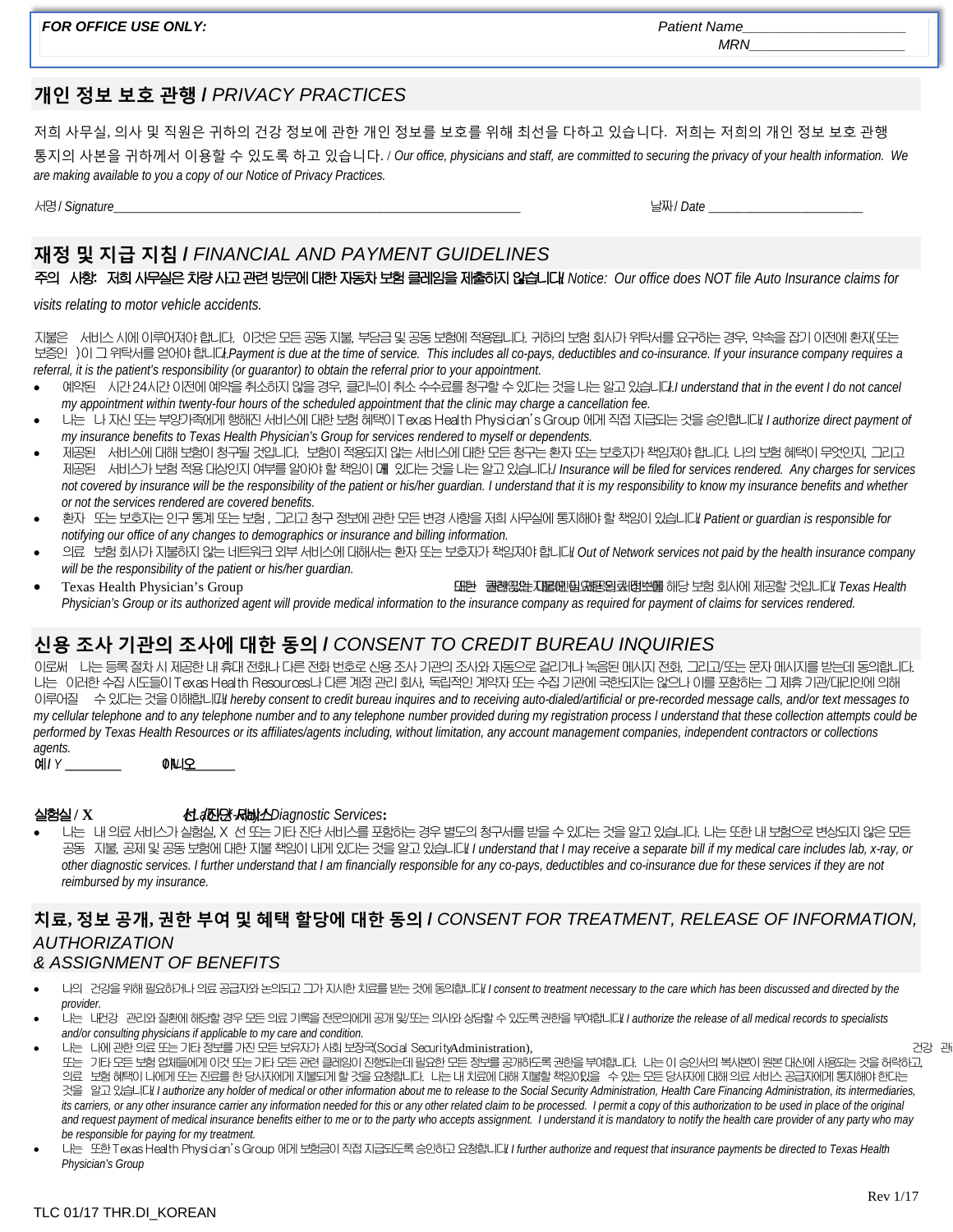**FOR OFFICE USE ONLY:** *Patient Name* 

### **개인 정보 보호 관행 /** *PRIVACY PRACTICES*

저희 사무실, 의사 및 직원은 귀하의 건강 정보에 관한 개인 정보를 보호를 위해 최선을 다하고 있습니다. 저희는 저희의 개인 정보 보호 관행 통지의 사본을 귀하께서 이용할 수 있도록 하고 있습니다. / *Our office, physicians and staff, are committed to securing the privacy of your health information. We are making available to you a copy of our Notice of Privacy Practices.*

서명/ *Signature*\_\_\_\_\_\_\_\_\_\_\_\_\_\_\_\_\_\_\_\_\_\_\_\_\_\_\_\_\_\_\_\_\_\_\_\_\_\_\_\_\_\_\_\_\_\_\_\_\_\_\_\_\_\_\_\_\_\_ 날짜/ *Date* \_\_\_\_\_\_\_\_\_\_\_\_\_\_\_\_\_\_\_\_\_\_

# **재정 및 지급 지침 /** *FINANCIAL AND PAYMENT GUIDELINES*

주의 사항: 저희 사무실은 차량 사고 관련 방문에 대한 자동차 보험 클레임을 제출하지 않습니다.**/** *Notice: Our office does NOT file Auto Insurance claims for* 

*visits relating to motor vehicle accidents.*

지불은 서비스 시에 이루어져야 합니다. 이것은 모든 공동 지불, 부담금 및 공동 보험에 적용됩니다. 귀하의 보험 회사가 위탁서를 요구하는 경우, 약속을 잡기 이전에 환자(또는 보증인 )이 그 위탁서를 얻어야 합니다./ *Payment is due at the time of service. This includes all co-pays, deductibles and co-insurance. If your insurance company requires a referral, it is the patient's responsibility (or guarantor) to obtain the referral prior to your appointment.*

- 예약된 시간 24시간 이전에 예약을 취소하지 않을 경우, 클리닉이 취소 수수료를 청구할 수 있다는 것을 나는 알고 있습니다./ *I understand that in the event I do not cancel my appointment within twenty-four hours of the scheduled appointment that the clinic may charge a cancellation fee.*
- 나는 나 자신 또는 부양가족에게 행해진 서비스에 대한 보험 혜택이 Texas Health Physician's Group 에게 직접 지급되는 것을 승인합니다./ *I authorize direct payment of my insurance benefits to Texas Health Physician's Group for services rendered to myself or dependents.*
- 제공된 서비스에 대해 보험이 청구될 것입니다. 보험이 적용되지 않는 서비스에 대한 모든 청구는 환자 또는 보호자가 책임져야 합니다. 나의 보험 혜택이 무엇인지, 그리고 제공된 서비스가 보험 적용 대상인지 여부를 알아야 할 책임이 내게 있다는 것을 나는 알고 있습니다./ *Insurance will be filed for services rendered. Any charges for services not covered by insurance will be the responsibility of the patient or his/her guardian. I understand that it is my responsibility to know my insurance benefits and whether or not the services rendered are covered benefits.*
- 환자 또는 보호자는 인구 통계 또는 보험 , 그리고 청구 정보에 관한 모든 변경 사항을 저희 사무실에 통지해야 할 책임이 있습니다./ *Patient or guardian is responsible for notifying our office of any changes to demographics or insurance and billing information.*
- 의료 보험 회사가 지불하지 않는 네트워크 외부 서비스에 대해서는 환자 또는 보호자가 책임져야 합니다./ *Out of Network services not paid by the health insurance company will be the responsibility of the patient or his/her guardian.*
- Texas Health Physician's Group ٢٠٠٠٠ ٢ Texas Health و 대한 권한 관계인 대한 권한 기업을 해당 보험 회사에 제공할 것입니다. Texas Health *Physician's Group or its authorized agent will provide medical information to the insurance company as required for payment of claims for services rendered.*

## **신용 조사 기관의 조사에 대한 동의 /** *CONSENT TO CREDIT BUREAU INQUIRIES*

이로써 나는 등록 절차 시 제공한 내 휴대 전화나 다른 전화 번호로 신용 조사 기관의 조사와 자동으로 걸리거나 녹음된 메시지 전화, 그리고/또는 문자 메시지를 받는데 동의합니다. 나는 이러한 수집 시도들이 Texas Health Resources나 다른 계정 관리 회사, 독립적인 계약자 또는 수집 기관에 국한되지는 않으나 이를 포함하는 그 제휴 기관/대리인에 의해 이루어질 수 있다는 것을 이해합니다./ *I hereby consent to credit bureau inquires and to receiving auto-dialed/artificial or pre-recorded message calls, and/or text messages to my cellular telephone and to any telephone number and to any telephone number provided during my registration process I understand that these collection attempts could be performed by Texas Health Resources or its affiliates/agents including, without limitation, any account management companies, independent contractors or collections* 

*agents.* 예**/** *Y* **\_\_\_\_\_\_\_\_** 아니오 **/** *N* **\_\_\_\_\_\_\_**

*reimbursed by my insurance.* 

실험실**/ X** 선**/** *Lab / X* /진단 서비스 *-Ray / Diagnostic Services***:** • 나는 내 의료 서비스가 실험실, X 선 또는 기타 진단 서비스를 포함하는 경우 별도의 청구서를 받을 수 있다는 것을 알고 있습니다. 나는 또한 내 보험으로 변상되지 않은 모든 공동 지불, 공제 및 공동 보험에 대한 지불 책임이 내게 있다는 것을 알고 있습니다! *I understand that I may receive a separate bill if my medical care includes lab, x-ray, or other diagnostic services. I further understand that I am financially responsible for any co-pays, deductibles and co-insurance due for these services if they are not* 

# **치료, 정보 공개, 권한 부여 및 혜택 할당에 대한 동의 /** *CONSENT FOR TREATMENT, RELEASE OF INFORMATION, AUTHORIZATION*

## *& ASSIGNMENT OF BENEFITS*

- 나의 건강을 위해 필요하거나 의료 공급자와 논의되고 그가 지시한 치료를 받는 것에 동의합니다./ *I consent to treatment necessary to the care which has been discussed and directed by the provider.*
- 나는 내건강 관리와 질환에 해당할 경우 모든 의료 기록을 전문의에게 공개 및/또는 의사와 상담할 수 있도록 권한을 부여합니다./ *I authorize the release of all medical records to specialists and/or consulting physicians if applicable to my care and condition.*
- 나는 나에 관한 의료 또는 기타 정보를 가진 모든 보유자가 사회 보장국(Social SecurityAdministration), 그 가능한 기업 관리 가능한 기업 관리 관리 관리 관리 관리 관리 관리

또는 기타 모든 보험 업체들에게 이것 또는 기타 모든 관련 클레임이 진행되는데 필요한 모든 정보를 공개하도록 권한을 부여합니다. 나는 이 승인서의 복사본이 원본 대신에 사용되는 것을 허락하고, 의료 보험 혜택이 나에게 또는 진료를 한 당사자에게 지불되게 할 것을 요청합니다. 나는 내 치료에 대해 지불할 책임이있을 수 있는 모든 당사자에 대해 의료 서비스 공급자에게 통지해야 한다는 것을 알고 있습니다./ *I authorize any holder of medical or other information about me to release to the Social Security Administration, Health Care Financing Administration, its intermediaries, its carriers, or any other insurance carrier any information needed for this or any other related claim to be processed. I permit a copy of this authorization to be used in place of the original* and request payment of medical insurance benefits either to me or to the party who accepts assignment. I understand it is mandatory to notify the health care provider of any party who may *be responsible for paying for my treatment.* 

• 나는 또한 Texas Health Physician's Group 에게 보험금이 직접 지급되도록 승인하고 요청합니다./ *I further authorize and request that insurance payments be directed to Texas Health Physician's Group*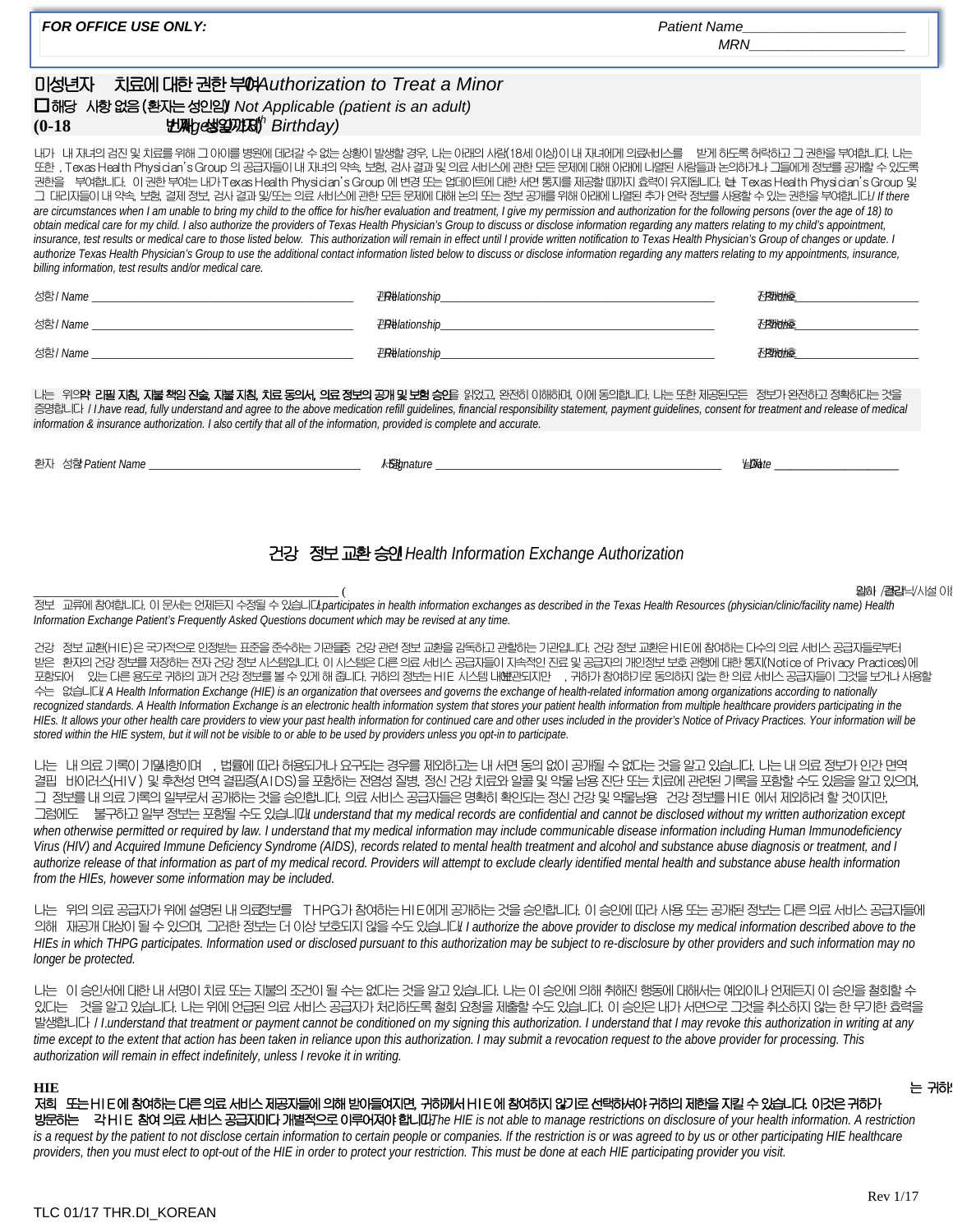| <b>FOR OFFICE USE ONLY:</b>                                                                                                                            |                                                       | Patient Name                                                                                                                                                                                                                                                                                                                                                                                                                                                                                                                                                                                                                                                                                                                                                                                                                                                                                                                                                                                                                                                                                                                                                                                                                                                                                                                                 |  |  |
|--------------------------------------------------------------------------------------------------------------------------------------------------------|-------------------------------------------------------|----------------------------------------------------------------------------------------------------------------------------------------------------------------------------------------------------------------------------------------------------------------------------------------------------------------------------------------------------------------------------------------------------------------------------------------------------------------------------------------------------------------------------------------------------------------------------------------------------------------------------------------------------------------------------------------------------------------------------------------------------------------------------------------------------------------------------------------------------------------------------------------------------------------------------------------------------------------------------------------------------------------------------------------------------------------------------------------------------------------------------------------------------------------------------------------------------------------------------------------------------------------------------------------------------------------------------------------------|--|--|
| 마성년자<br>치료에 대한 권한 부여Authorization to Treat a Minor<br>□해당 시항 없음 (환자는 성인임) Not Applicable (patient is an adult)<br><b>牡丹g线望明图</b> Birthday)<br>$(0-18)$ |                                                       |                                                                                                                                                                                                                                                                                                                                                                                                                                                                                                                                                                                                                                                                                                                                                                                                                                                                                                                                                                                                                                                                                                                                                                                                                                                                                                                                              |  |  |
| billing information, test results and/or medical care.                                                                                                 |                                                       | 내가 내 재녀의 검진 및 치료를 위해 그 0101를 병원에 데려갈 수 없는 상황이 발생할 경우, 나는 01레의 사람(18세 이상)이 내 재녀에게 의료새비스를 '받게 하도록 허락하고 그 권한을 부여합니다. 나는<br>또한, Texas Health Physician's Group 의 공급자들이 내 자녀의 약속, 보험, 검사 결과 및 의료 서비스에 관한 모든 문제에 대해 아래에 나열된 사람들과 논의하거나 그들에게 정보를 공개할 수 있도록<br>권한을 부여합니다. 이 권한 부여는 내가 Texas Health Physician's Group 에 변경 또는 업데이트에 대한 서면 통지를 제공할 때까지 효력이 유지됩니다. N Texas Health Physician's Group 및<br>그 대리자들이 내 약속, 보험, 결제 정보, 검사 결과 및/또는 의료 서비스에 관한 모든 문제에 대해 논의 또는 정보 공개를 위해 아래에 나열된 추가 연락 정보를 사용할 수 있는 권한을 부여합니다./ If there<br>are circumstances when I am unable to bring my child to the office for his/her evaluation and treatment, I give my permission and authorization for the following persons (over the age of 18) to<br>obtain medical care for my child. I also authorize the providers of Texas Health Physician's Group to discuss or disclose information regarding any matters relating to my child's appointment,<br>insurance, test results or medical care to those listed below. This authorization will remain in effect until I provide written notification to Texas Health Physician's Group of changes or update. I<br>authorize Texas Health Physician's Group to use the additional contact information listed below to discuss or disclose information regarding any matters relating to my appointments, insurance, |  |  |
|                                                                                                                                                        |                                                       | 不图相应                                                                                                                                                                                                                                                                                                                                                                                                                                                                                                                                                                                                                                                                                                                                                                                                                                                                                                                                                                                                                                                                                                                                                                                                                                                                                                                                         |  |  |
|                                                                                                                                                        |                                                       | 不图柏痘                                                                                                                                                                                                                                                                                                                                                                                                                                                                                                                                                                                                                                                                                                                                                                                                                                                                                                                                                                                                                                                                                                                                                                                                                                                                                                                                         |  |  |
|                                                                                                                                                        |                                                       | 不图的症                                                                                                                                                                                                                                                                                                                                                                                                                                                                                                                                                                                                                                                                                                                                                                                                                                                                                                                                                                                                                                                                                                                                                                                                                                                                                                                                         |  |  |
| information & insurance authorization. I also certify that all of the information, provided is complete and accurate.                                  |                                                       | 나는 위의 <b>약 리필 지침, 지불책임 진술, 지불 지침, 치료 동의서, 의료 정보의 공개 및 보험 승인</b> 을 읽었고, 완전히 이해하며, 이에 동의합니다. 나는 또한 제공된모든  정보가 완전하고 정확하다는 것을<br>증명합니다 / I.have read, fully understand and agree to the above medication refill guidelines, financial responsibility statement, payment guidelines, consent for treatment and release of medical<br><b>ktown and the contract of the contract of the contract of the contract of the contract of the contract of the contract of the contract of the contract of the contract of the contract of the contract of the contract of the</b><br>$\angle$ DD-ate                                                                                                                                                                                                                                                                                                                                                                                                                                                                                                                                                                                                                                                                                                                                                      |  |  |
|                                                                                                                                                        |                                                       |                                                                                                                                                                                                                                                                                                                                                                                                                                                                                                                                                                                                                                                                                                                                                                                                                                                                                                                                                                                                                                                                                                                                                                                                                                                                                                                                              |  |  |
|                                                                                                                                                        | 건강 정보 교환 승인 Health Information Exchange Authorization |                                                                                                                                                                                                                                                                                                                                                                                                                                                                                                                                                                                                                                                                                                                                                                                                                                                                                                                                                                                                                                                                                                                                                                                                                                                                                                                                              |  |  |
| Information Exchange Patient's Frequently Asked Questions document which may be revised at any time.                                                   |                                                       | <b>थेN /결라</b> 닉/시설 이<br>정보 교류에 참여합니다. 이 문서는 언제든지 수정될 수 있습니다.participates in health information exchanges as described in the Texas Health Resources (physician/clinic/facility name) Health                                                                                                                                                                                                                                                                                                                                                                                                                                                                                                                                                                                                                                                                                                                                                                                                                                                                                                                                                                                                                                                                                                                                                 |  |  |

건강 정보 교환(HIE)은 국가적으로 인정받는 표준을 준수하는 기관들중 건강 관련 정보 교환을 감독하고 관할하는 기관입니다. 건강 정보 교환은 HIE에 참여하는 다수의 의료 서비스 공급자들로부터 받은 환자의 건강 정보를 저장하는 전자 건강 정보 시스템입니다. 이 시스템은 다른 의료 서비스 공급자들이 지속적인 진료 및 공급자의 개인정보 보호 관행에 대한 통지(Notice of Privacy Practices)에 포함되어 있는 다른 용도로 귀하의 과거 건강 정보를 볼 수 있게 해 줍니다. 귀하의 정보는 HIE 시스템 내예관되지만 , 귀하가 참여하기로 동의하지 않는 한 의료 서비스 공급자들이 그것을 보거나 사용할 수는 없습니다. A Health Information Exchange (HIE) is an organization that oversees and governs the exchange of health-related information among organizations according to nationally recognized standards. A Health Information Exchange is an electronic health information system that stores your patient health information from multiple healthcare providers participating in the *HIEs. It allows your other health care providers to view your past health information for continued care and other uses included in the provider's Notice of Privacy Practices. Your information will be stored within the HIE system, but it will not be visible to or able to be used by providers unless you opt-in to participate.*

나는 내 의료 기록이 기밀사항이며 , 법률에 따라 허용되거나 요구되는 경우를 제외하고는 내 서면 동의 없이 공개될 수 없다는 것을 알고 있습니다. 나는 내 의료 정보가 인간 면역 결핍 바이러스(HIV) 및 후천성 면역 결핍증(AIDS)을 포함하는 전염성 질병, 정신 건강 치료와 알콜 및 약물 남용 진단 또는 치료에 관련된 기록을 포함할 수도 있음을 알고 있으며, 그 정보를 내 의료 기록의 일부로서 공개하는 것을 승인합니다. 의료 서비스 공급자들은 명확히 확인되는 정신 건강 및 약물남용 건강 정보를 HIE 에서 제외하려 할 것이지만, 그럼에도 불구하고 일부 정보는 포함될 수도 있습니대 understand that my medical records are confidential and cannot be disclosed without my written authorization except when otherwise permitted or required by law. I understand that my medical information may include communicable disease information including Human Immunodeficiency Virus (HIV) and Acquired Immune Deficiency Syndrome (AIDS), records related to mental health treatment and alcohol and substance abuse diagnosis or treatment, and I *authorize release of that information as part of my medical record. Providers will attempt to exclude clearly identified mental health and substance abuse health information from the HIEs, however some information may be included.*

나는 위의 의료 공급자가 위에 설명된 내 의료정보를 THPG가 참여하는 HIE에게 공개하는 것을 승인합니다. 이 승인에 따라 사용 또는 공개된 정보는 다른 의료 서비스 공급자들에 의해 재공개 대상이 될 수 있으며, 그러한 정보는 더 이상 보호되지 않을 수도 있습니다! I authorize the above provider to disclose my medical information described above to the *HIEs in which THPG participates. Information used or disclosed pursuant to this authorization may be subject to re-disclosure by other providers and such information may no longer be protected.*

나는 이 승인서에 대한 내 서명이 치료 또는 지불의 조건이 될 수는 없다는 것을 알고 있습니다. 나는 이 승인에 의해 취해진 행동에 대해서는 예외이나 언제든지 이 승인을 철회할 수 있다는 것을 알고 있습니다. 나는 위에 언급된 의료 서비스 공급자가 처리하도록 철회 요청을 제출할 수도 있습니다. 이 승인은 내가 서면으로 그것을 취소하지 않는 한 무기한 효력을 발생합니다 / *I* understand that treatment or payment cannot be conditioned on my signing this authorization. I understand that I may revoke this authorization in writing at any *time except to the extent that action has been taken in reliance upon this authorization. I may submit a revocation request to the above provider for processing. This authorization will remain in effect indefinitely, unless I revoke it in writing.*

### **HIE** 는 귀하의

저희 또는 HIE에 참여하는 다른 의료 서비스 제공자들에 의해 받아들여지면, 귀하께서 HIE에 참여하지 않기로 선택하셔야 귀하의 제한을 지킬 수 있습니다. 이것은 귀하가 방문하는 각 HIE 참여 의료 서비스 공급자마다 개별적으로 이루어져야 합니다.**/** *The HIE is not able to manage restrictions on disclosure of your health information. A restriction is a request by the patient to not disclose certain information to certain people or companies. If the restriction is or was agreed to by us or other participating HIE healthcare providers, then you must elect to opt-out of the HIE in order to protect your restriction. This must be done at each HIE participating provider you visit.*